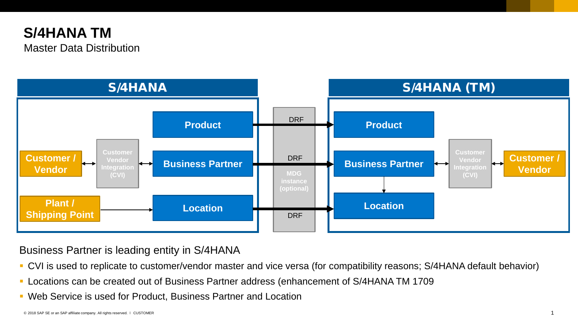## **S/4HANA TM**  Master Data Distribution



Business Partner is leading entity in S/4HANA

- CVI is used to replicate to customer/vendor master and vice versa (for compatibility reasons; S/4HANA default behavior)
- Locations can be created out of Business Partner address (enhancement of S/4HANA TM 1709
- Web Service is used for Product, Business Partner and Location